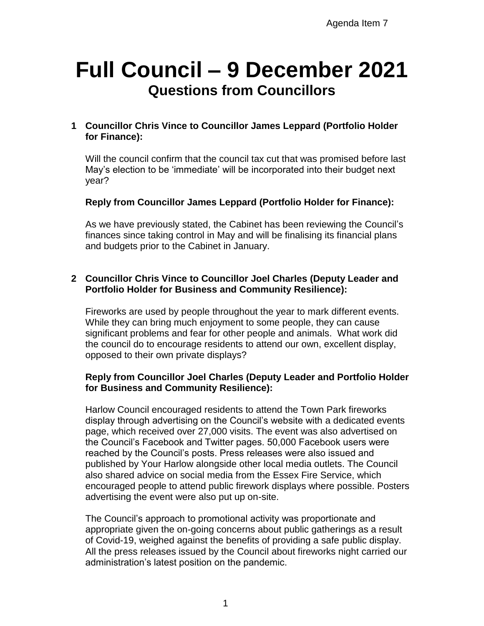# **Full Council – 9 December 2021 Questions from Councillors**

## **1 Councillor Chris Vince to Councillor James Leppard (Portfolio Holder for Finance):**

Will the council confirm that the council tax cut that was promised before last May's election to be 'immediate' will be incorporated into their budget next year?

### **Reply from Councillor James Leppard (Portfolio Holder for Finance):**

As we have previously stated, the Cabinet has been reviewing the Council's finances since taking control in May and will be finalising its financial plans and budgets prior to the Cabinet in January.

#### **2 Councillor Chris Vince to Councillor Joel Charles (Deputy Leader and Portfolio Holder for Business and Community Resilience):**

Fireworks are used by people throughout the year to mark different events. While they can bring much enjoyment to some people, they can cause significant problems and fear for other people and animals. What work did the council do to encourage residents to attend our own, excellent display, opposed to their own private displays?

#### **Reply from Councillor Joel Charles (Deputy Leader and Portfolio Holder for Business and Community Resilience):**

Harlow Council encouraged residents to attend the Town Park fireworks display through advertising on the Council's website with a dedicated events page, which received over 27,000 visits. The event was also advertised on the Council's Facebook and Twitter pages. 50,000 Facebook users were reached by the Council's posts. Press releases were also issued and published by Your Harlow alongside other local media outlets. The Council also shared advice on social media from the Essex Fire Service, which encouraged people to attend public firework displays where possible. Posters advertising the event were also put up on-site.

The Council's approach to promotional activity was proportionate and appropriate given the on-going concerns about public gatherings as a result of Covid-19, weighed against the benefits of providing a safe public display. All the press releases issued by the Council about fireworks night carried our administration's latest position on the pandemic.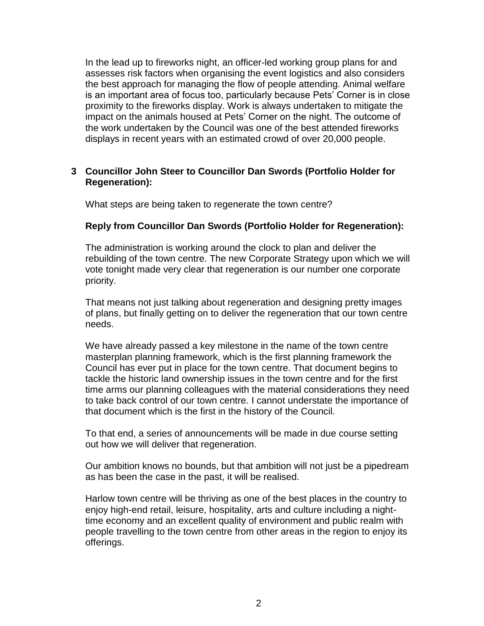In the lead up to fireworks night, an officer-led working group plans for and assesses risk factors when organising the event logistics and also considers the best approach for managing the flow of people attending. Animal welfare is an important area of focus too, particularly because Pets' Corner is in close proximity to the fireworks display. Work is always undertaken to mitigate the impact on the animals housed at Pets' Corner on the night. The outcome of the work undertaken by the Council was one of the best attended fireworks displays in recent years with an estimated crowd of over 20,000 people.

#### **3 Councillor John Steer to Councillor Dan Swords (Portfolio Holder for Regeneration):**

What steps are being taken to regenerate the town centre?

#### **Reply from Councillor Dan Swords (Portfolio Holder for Regeneration):**

The administration is working around the clock to plan and deliver the rebuilding of the town centre. The new Corporate Strategy upon which we will vote tonight made very clear that regeneration is our number one corporate priority.

That means not just talking about regeneration and designing pretty images of plans, but finally getting on to deliver the regeneration that our town centre needs.

We have already passed a key milestone in the name of the town centre masterplan planning framework, which is the first planning framework the Council has ever put in place for the town centre. That document begins to tackle the historic land ownership issues in the town centre and for the first time arms our planning colleagues with the material considerations they need to take back control of our town centre. I cannot understate the importance of that document which is the first in the history of the Council.

To that end, a series of announcements will be made in due course setting out how we will deliver that regeneration.

Our ambition knows no bounds, but that ambition will not just be a pipedream as has been the case in the past, it will be realised.

Harlow town centre will be thriving as one of the best places in the country to enjoy high-end retail, leisure, hospitality, arts and culture including a nighttime economy and an excellent quality of environment and public realm with people travelling to the town centre from other areas in the region to enjoy its offerings.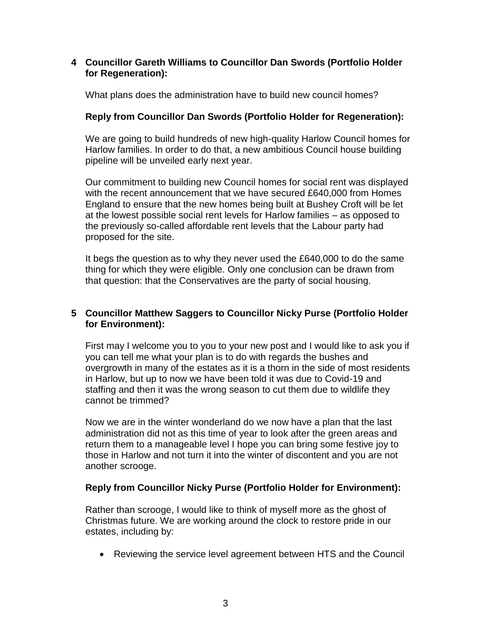#### **4 Councillor Gareth Williams to Councillor Dan Swords (Portfolio Holder for Regeneration):**

What plans does the administration have to build new council homes?

# **Reply from Councillor Dan Swords (Portfolio Holder for Regeneration):**

We are going to build hundreds of new high-quality Harlow Council homes for Harlow families. In order to do that, a new ambitious Council house building pipeline will be unveiled early next year.

Our commitment to building new Council homes for social rent was displayed with the recent announcement that we have secured £640,000 from Homes England to ensure that the new homes being built at Bushey Croft will be let at the lowest possible social rent levels for Harlow families – as opposed to the previously so-called affordable rent levels that the Labour party had proposed for the site.

It begs the question as to why they never used the £640,000 to do the same thing for which they were eligible. Only one conclusion can be drawn from that question: that the Conservatives are the party of social housing.

# **5 Councillor Matthew Saggers to Councillor Nicky Purse (Portfolio Holder for Environment):**

First may I welcome you to you to your new post and I would like to ask you if you can tell me what your plan is to do with regards the bushes and overgrowth in many of the estates as it is a thorn in the side of most residents in Harlow, but up to now we have been told it was due to Covid-19 and staffing and then it was the wrong season to cut them due to wildlife they cannot be trimmed?

Now we are in the winter wonderland do we now have a plan that the last administration did not as this time of year to look after the green areas and return them to a manageable level I hope you can bring some festive joy to those in Harlow and not turn it into the winter of discontent and you are not another scrooge.

# **Reply from Councillor Nicky Purse (Portfolio Holder for Environment):**

Rather than scrooge, I would like to think of myself more as the ghost of Christmas future. We are working around the clock to restore pride in our estates, including by:

Reviewing the service level agreement between HTS and the Council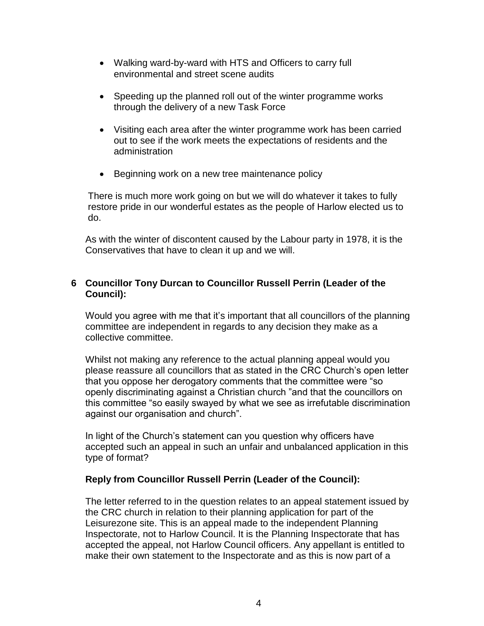- Walking ward-by-ward with HTS and Officers to carry full environmental and street scene audits
- Speeding up the planned roll out of the winter programme works through the delivery of a new Task Force
- Visiting each area after the winter programme work has been carried out to see if the work meets the expectations of residents and the administration
- Beginning work on a new tree maintenance policy

There is much more work going on but we will do whatever it takes to fully restore pride in our wonderful estates as the people of Harlow elected us to do.

As with the winter of discontent caused by the Labour party in 1978, it is the Conservatives that have to clean it up and we will.

## **6 Councillor Tony Durcan to Councillor Russell Perrin (Leader of the Council):**

Would you agree with me that it's important that all councillors of the planning committee are independent in regards to any decision they make as a collective committee.

Whilst not making any reference to the actual planning appeal would you please reassure all councillors that as stated in the CRC Church's open letter that you oppose her derogatory comments that the committee were "so openly discriminating against a Christian church "and that the councillors on this committee "so easily swayed by what we see as irrefutable discrimination against our organisation and church".

In light of the Church's statement can you question why officers have accepted such an appeal in such an unfair and unbalanced application in this type of format?

# **Reply from Councillor Russell Perrin (Leader of the Council):**

The letter referred to in the question relates to an appeal statement issued by the CRC church in relation to their planning application for part of the Leisurezone site. This is an appeal made to the independent Planning Inspectorate, not to Harlow Council. It is the Planning Inspectorate that has accepted the appeal, not Harlow Council officers. Any appellant is entitled to make their own statement to the Inspectorate and as this is now part of a